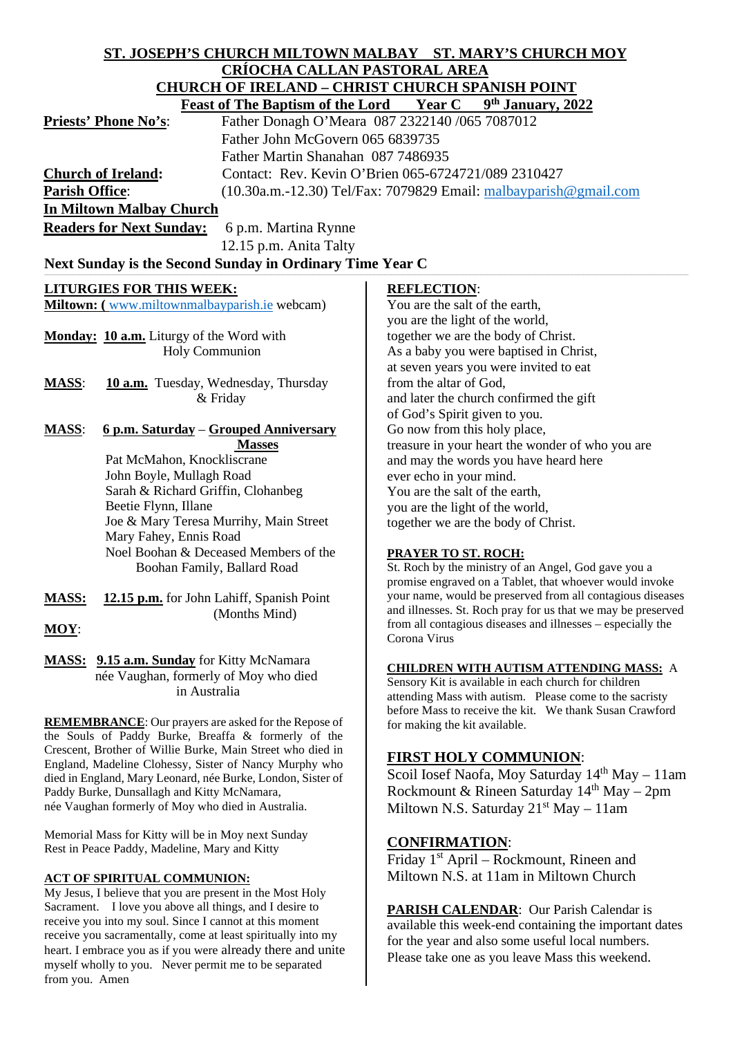# **ST. JOSEPH'S CHURCH MILTOWN MALBAY ST. MARY'S CHURCH MOY CRÍOCHA CALLAN PASTORAL AREA CHURCH OF IRELAND – CHRIST CHURCH SPANISH POINT**

| $\mathcal{L}$ Howch of Indian $\mathcal{D}$ – Chindi Chonch of Andri I On T      |                                                |                                                                                  |                                                              |  |
|----------------------------------------------------------------------------------|------------------------------------------------|----------------------------------------------------------------------------------|--------------------------------------------------------------|--|
|                                                                                  | <b>Feast of The Baptism of the Lord Year C</b> |                                                                                  | 9th January, 2022                                            |  |
| <b>Priests' Phone No's:</b>                                                      | Father Donagh O'Meara 087 2322140 /065 7087012 |                                                                                  |                                                              |  |
| Father John McGovern 065 6839735                                                 |                                                |                                                                                  |                                                              |  |
| Father Martin Shanahan 087 7486935                                               |                                                |                                                                                  |                                                              |  |
| <b>Church of Ireland:</b><br>Contact: Rev. Kevin O'Brien 065-6724721/089 2310427 |                                                |                                                                                  |                                                              |  |
| <b>Parish Office:</b>                                                            |                                                | (10.30a.m.-12.30) Tel/Fax: 7079829 Email: malbayparish@gmail.com                 |                                                              |  |
| <b>In Miltown Malbay Church</b>                                                  |                                                |                                                                                  |                                                              |  |
| <b>Readers for Next Sunday:</b><br>6 p.m. Martina Rynne                          |                                                |                                                                                  |                                                              |  |
|                                                                                  | 12.15 p.m. Anita Talty                         |                                                                                  |                                                              |  |
| Next Sunday is the Second Sunday in Ordinary Time Year C                         |                                                |                                                                                  |                                                              |  |
|                                                                                  |                                                |                                                                                  |                                                              |  |
| <b>LITURGIES FOR THIS WEEK:</b>                                                  |                                                | <b>REFLECTION:</b>                                                               |                                                              |  |
| Miltown: (www.miltownmalbayparish.ie webcam)                                     |                                                | You are the salt of the earth,                                                   |                                                              |  |
|                                                                                  |                                                | you are the light of the world,                                                  |                                                              |  |
| Monday: 10 a.m. Liturgy of the Word with<br><b>Holy Communion</b>                |                                                | together we are the body of Christ.                                              |                                                              |  |
|                                                                                  |                                                |                                                                                  | As a baby you were baptised in Christ,                       |  |
|                                                                                  |                                                |                                                                                  | at seven years you were invited to eat                       |  |
| <b>MASS:</b>                                                                     | 10 a.m. Tuesday, Wednesday, Thursday           | from the altar of God,                                                           |                                                              |  |
|                                                                                  | & Friday                                       |                                                                                  | and later the church confirmed the gift                      |  |
|                                                                                  |                                                | of God's Spirit given to you.                                                    |                                                              |  |
| <b>MASS:</b><br><u> 6 p.m. Saturday – Grouped Anniversary</u>                    |                                                | Go now from this holy place,<br>treasure in your heart the wonder of who you are |                                                              |  |
| Pat McMahon, Knockliscrane                                                       | <b>Masses</b>                                  |                                                                                  |                                                              |  |
| John Boyle, Mullagh Road                                                         |                                                |                                                                                  | and may the words you have heard here                        |  |
| Sarah & Richard Griffin, Clohanbeg                                               |                                                | ever echo in your mind.<br>You are the salt of the earth,                        |                                                              |  |
| Beetie Flynn, Illane                                                             |                                                | you are the light of the world,                                                  |                                                              |  |
| Joe & Mary Teresa Murrihy, Main Street                                           |                                                |                                                                                  | together we are the body of Christ.                          |  |
| Mary Fahey, Ennis Road                                                           |                                                |                                                                                  |                                                              |  |
| Noel Boohan & Deceased Members of the                                            |                                                | PRAYER TO ST. ROCH:                                                              |                                                              |  |
|                                                                                  | Boohan Family, Ballard Road                    |                                                                                  | St. Roch by the ministry of an Angel, God gave you a         |  |
|                                                                                  |                                                |                                                                                  | promise engraved on a Tablet, that whoever would invoke      |  |
| <b>MASS:</b>                                                                     | 12.15 p.m. for John Lahiff, Spanish Point      |                                                                                  | your name, would be preserved from all contagious diseases   |  |
|                                                                                  | (Months Mind)                                  |                                                                                  | and illnesses. St. Roch pray for us that we may be preserved |  |
|                                                                                  |                                                |                                                                                  | facia ell controlario d'accesso and llacesse — consolalle de |  |

**MOY**:

**MASS: 9.15 a.m. Sunday** for Kitty McNamara née Vaughan, formerly of Moy who died in Australia

**REMEMBRANCE**: Our prayers are asked for the Repose of the Souls of Paddy Burke, Breaffa & formerly of the Crescent, Brother of Willie Burke, Main Street who died in England, Madeline Clohessy, Sister of Nancy Murphy who died in England, Mary Leonard, née Burke, London, Sister of Paddy Burke, Dunsallagh and Kitty McNamara, née Vaughan formerly of Moy who died in Australia.

Memorial Mass for Kitty will be in Moy next Sunday Rest in Peace Paddy, Madeline, Mary and Kitty

### **ACT OF SPIRITUAL COMMUNION:**

My Jesus, I believe that you are present in the Most Holy Sacrament. I love you above all things, and I desire to receive you into my soul. Since I cannot at this moment receive you sacramentally, come at least spiritually into my heart. I embrace you as if you were already there and unite myself wholly to you. Never permit me to be separated from you. Amen

promise engraved on a Tablet, that whoever would invoke your name, would be preserved from all contagious diseases and illnesses. St. Roch pray for us that we may be preserved from all contagious diseases and illnesses – especially the Corona Virus

#### **CHILDREN WITH AUTISM ATTENDING MASS:** A

Sensory Kit is available in each church for children attending Mass with autism. Please come to the sacristy before Mass to receive the kit. We thank Susan Crawford for making the kit available.

## **FIRST HOLY COMMUNION**:

Scoil Iosef Naofa, Moy Saturday  $14<sup>th</sup>$  May – 11am Rockmount & Rineen Saturday 14th May – 2pm Miltown N.S. Saturday  $21^{st}$  May  $-11$ am

### **CONFIRMATION**:

Friday 1st April – Rockmount, Rineen and Miltown N.S. at 11am in Miltown Church

**PARISH CALENDAR**: Our Parish Calendar is available this week-end containing the important dates for the year and also some useful local numbers. Please take one as you leave Mass this weekend.